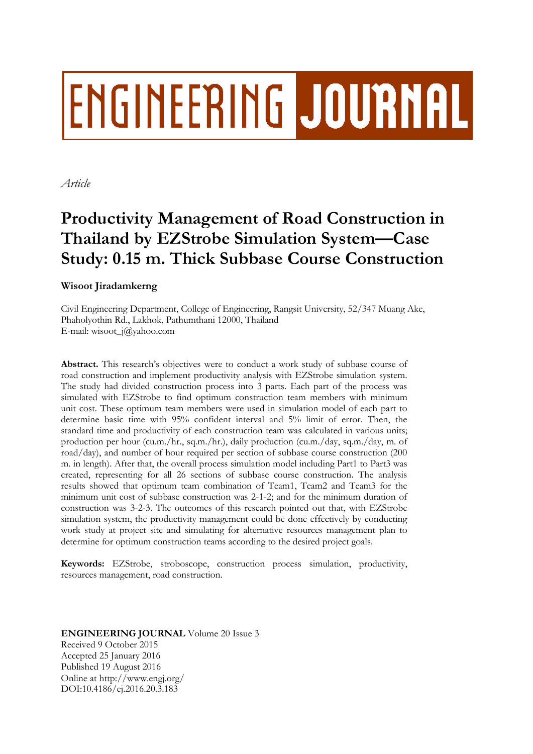# **ENGINEERING JOURNAL**

*Article*

# **Productivity Management of Road Construction in Thailand by EZStrobe Simulation System—Case Study: 0.15 m. Thick Subbase Course Construction**

# **Wisoot Jiradamkerng**

Civil Engineering Department, College of Engineering, Rangsit University, 52/347 Muang Ake, Phaholyothin Rd., Lakhok, Pathumthani 12000, Thailand E-mail: wisoot\_j@yahoo.com

**Abstract.** This research's objectives were to conduct a work study of subbase course of road construction and implement productivity analysis with EZStrobe simulation system. The study had divided construction process into 3 parts. Each part of the process was simulated with EZStrobe to find optimum construction team members with minimum unit cost. These optimum team members were used in simulation model of each part to determine basic time with 95% confident interval and 5% limit of error. Then, the standard time and productivity of each construction team was calculated in various units; production per hour (cu.m./hr., sq.m./hr.), daily production (cu.m./day, sq.m./day, m. of road/day), and number of hour required per section of subbase course construction (200 m. in length). After that, the overall process simulation model including Part1 to Part3 was created, representing for all 26 sections of subbase course construction. The analysis results showed that optimum team combination of Team1, Team2 and Team3 for the minimum unit cost of subbase construction was 2-1-2; and for the minimum duration of construction was 3-2-3. The outcomes of this research pointed out that, with EZStrobe simulation system, the productivity management could be done effectively by conducting work study at project site and simulating for alternative resources management plan to determine for optimum construction teams according to the desired project goals.

**Keywords:** EZStrobe, stroboscope, construction process simulation, productivity, resources management, road construction.

# **ENGINEERING JOURNAL** Volume 20 Issue 3 Received 9 October 2015 Accepted 25 January 2016 Published 19 August 2016 Online at http://www.engj.org/ DOI:10.4186/ej.2016.20.3.183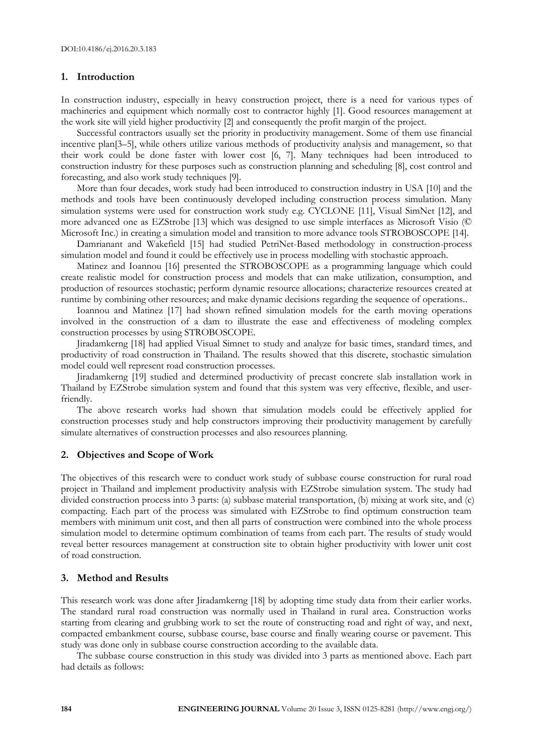### **1. Introduction**

In construction industry, especially in heavy construction project, there is a need for various types of machineries and equipment which normally cost to contractor highly [1]. Good resources management at the work site will yield higher productivity [2] and consequently the profit margin of the project.

Successful contractors usually set the priority in productivity management. Some of them use financial incentive plan[3–5], while others utilize various methods of productivity analysis and management, so that their work could be done faster with lower cost [6, 7]. Many techniques had been introduced to construction industry for these purposes such as construction planning and scheduling [8], cost control and forecasting, and also work study techniques [9].

More than four decades, work study had been introduced to construction industry in USA [10] and the methods and tools have been continuously developed including construction process simulation. Many simulation systems were used for construction work study e.g. CYCLONE [11], Visual SimNet [12], and more advanced one as EZStrobe [13] which was designed to use simple interfaces as Microsoft Visio (© Microsoft Inc.) in creating a simulation model and transition to more advance tools STROBOSCOPE [14].

Damrianant and Wakefield [15] had studied PetriNet-Based methodology in construction-process simulation model and found it could be effectively use in process modelling with stochastic approach.

Matinez and Ioannou [16] presented the STROBOSCOPE as a programming language which could create realistic model for construction process and models that can make utilization, consumption, and production of resources stochastic; perform dynamic resource allocations; characterize resources created at runtime by combining other resources; and make dynamic decisions regarding the sequence of operations..

Ioannou and Matinez [17] had shown refined simulation models for the earth moving operations involved in the construction of a dam to illustrate the ease and effectiveness of modeling complex construction processes by using STROBOSCOPE.

Jiradamkerng [18] had applied Visual Simnet to study and analyze for basic times, standard times, and productivity of road construction in Thailand. The results showed that this discrete, stochastic simulation model could well represent road construction processes.

Jiradamkerng [19] studied and determined productivity of precast concrete slab installation work in Thailand by EZStrobe simulation system and found that this system was very effective, flexible, and userfriendly.

The above research works had shown that simulation models could be effectively applied for construction processes study and help constructors improving their productivity management by carefully simulate alternatives of construction processes and also resources planning.

### **2. Objectives and Scope of Work**

The objectives of this research were to conduct work study of subbase course construction for rural road project in Thailand and implement productivity analysis with EZStrobe simulation system. The study had divided construction process into 3 parts: (a) subbase material transportation, (b) mixing at work site, and (c) compacting. Each part of the process was simulated with EZStrobe to find optimum construction team members with minimum unit cost, and then all parts of construction were combined into the whole process simulation model to determine optimum combination of teams from each part. The results of study would reveal better resources management at construction site to obtain higher productivity with lower unit cost of road construction.

#### **3. Method and Results**

This research work was done after Jiradamkerng [18] by adopting time study data from their earlier works. The standard rural road construction was normally used in Thailand in rural area. Construction works starting from clearing and grubbing work to set the route of constructing road and right of way, and next, compacted embankment course, subbase course, base course and finally wearing course or pavement. This study was done only in subbase course construction according to the available data.

The subbase course construction in this study was divided into 3 parts as mentioned above. Each part had details as follows: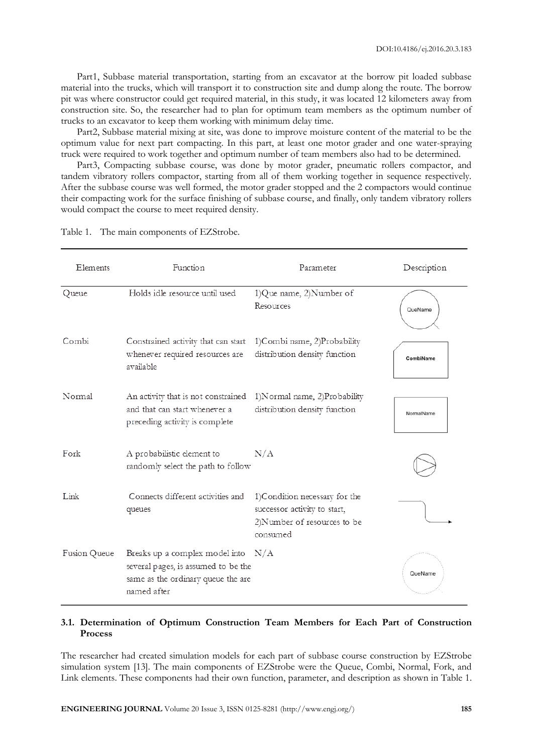Part1, Subbase material transportation, starting from an excavator at the borrow pit loaded subbase material into the trucks, which will transport it to construction site and dump along the route. The borrow pit was where constructor could get required material, in this study, it was located 12 kilometers away from construction site. So, the researcher had to plan for optimum team members as the optimum number of trucks to an excavator to keep them working with minimum delay time.

Part2, Subbase material mixing at site, was done to improve moisture content of the material to be the optimum value for next part compacting. In this part, at least one motor grader and one water-spraying truck were required to work together and optimum number of team members also had to be determined.

Part3, Compacting subbase course, was done by motor grader, pneumatic rollers compactor, and tandem vibratory rollers compactor, starting from all of them working together in sequence respectively. After the subbase course was well formed, the motor grader stopped and the 2 compactors would continue their compacting work for the surface finishing of subbase course, and finally, only tandem vibratory rollers would compact the course to meet required density.

| Elements     | Function                                                                                                                       | Parameter                                                                                                | Description |
|--------------|--------------------------------------------------------------------------------------------------------------------------------|----------------------------------------------------------------------------------------------------------|-------------|
| Queue        | Holds idle resource until used                                                                                                 | 1) Que name, 2) Number of<br>Resources                                                                   | QueName     |
| Combi        | Constrained activity that can start<br>whenever required resources are<br>available                                            | 1) Combi name, 2) Probability<br>distribution density function                                           | CombiName   |
| Normal       | An activity that is not constrained<br>and that can start whenever a<br>preceding activity is complete                         | 1) Normal name, 2) Probability<br>distribution density function                                          | NormalName  |
| Fork         | A probabilistic element to<br>randomly select the path to follow                                                               | N/A                                                                                                      |             |
| Link         | Connects different activities and<br>queues                                                                                    | 1)Condition necessary for the<br>successor activity to start,<br>2)Number of resources to be<br>consumed |             |
| Fusion Queue | Breaks up a complex model into N/A<br>several pages, is assumed to be the<br>same as the ordinary queue the are<br>named after |                                                                                                          | QueName     |

Table 1. The main components of EZStrobe.

# **3.1. Determination of Optimum Construction Team Members for Each Part of Construction Process**

The researcher had created simulation models for each part of subbase course construction by EZStrobe simulation system [13]. The main components of EZStrobe were the Queue, Combi, Normal, Fork, and Link elements. These components had their own function, parameter, and description as shown in Table 1.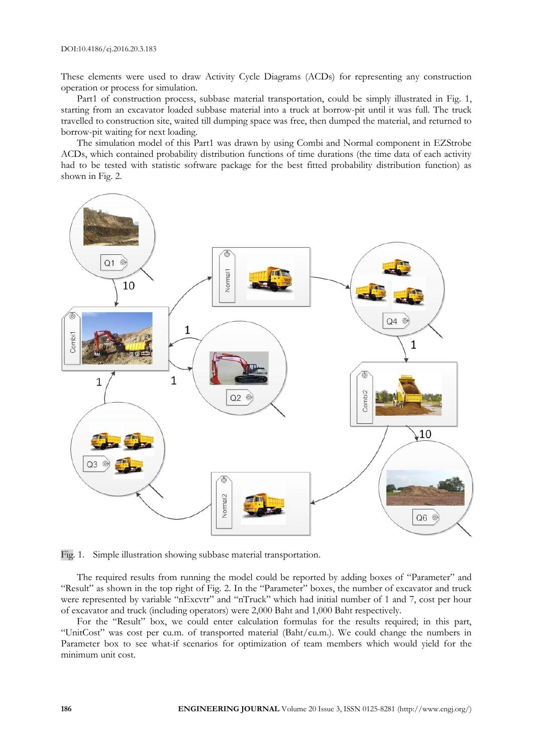These elements were used to draw Activity Cycle Diagrams (ACDs) for representing any construction operation or process for simulation.

Part1 of construction process, subbase material transportation, could be simply illustrated in Fig. 1, starting from an excavator loaded subbase material into a truck at borrow-pit until it was full. The truck travelled to construction site, waited till dumping space was free, then dumped the material, and returned to borrow-pit waiting for next loading.

The simulation model of this Part1 was drawn by using Combi and Normal component in EZStrobe ACDs, which contained probability distribution functions of time durations (the time data of each activity had to be tested with statistic software package for the best fitted probability distribution function) as shown in Fig. 2.



Fig. 1. Simple illustration showing subbase material transportation.

The required results from running the model could be reported by adding boxes of "Parameter" and "Result" as shown in the top right of Fig. 2. In the "Parameter" boxes, the number of excavator and truck were represented by variable "nExcvtr" and "nTruck" which had initial number of 1 and 7, cost per hour of excavator and truck (including operators) were 2,000 Baht and 1,000 Baht respectively.

For the "Result" box, we could enter calculation formulas for the results required; in this part, "UnitCost" was cost per cu.m. of transported material (Baht/cu.m.). We could change the numbers in Parameter box to see what-if scenarios for optimization of team members which would yield for the minimum unit cost.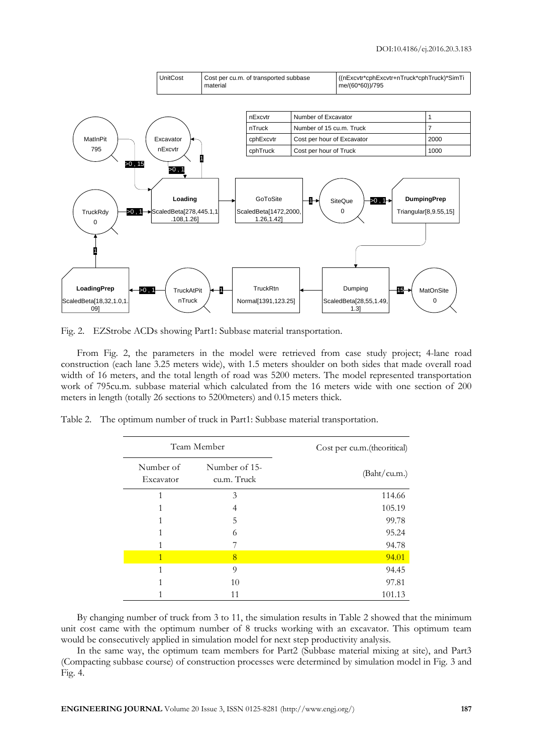

Fig. 2. EZStrobe ACDs showing Part1: Subbase material transportation.

From Fig. 2, the parameters in the model were retrieved from case study project; 4-lane road construction (each lane 3.25 meters wide), with 1.5 meters shoulder on both sides that made overall road width of 16 meters, and the total length of road was 5200 meters. The model represented transportation work of 795cu.m. subbase material which calculated from the 16 meters wide with one section of 200 meters in length (totally 26 sections to 5200meters) and 0.15 meters thick.

| Cost per cu.m. (theoritical) | Team Member                  |                        |  |
|------------------------------|------------------------------|------------------------|--|
| (Baht/cu.m.)                 | Number of 15-<br>cu.m. Truck | Number of<br>Excavator |  |
| 114.66                       | 3                            | 1                      |  |
| 105.19                       | 4                            |                        |  |
| 99.78                        | 5                            | 1                      |  |
| 95.24                        | 6                            |                        |  |
| 94.78                        |                              | 1                      |  |
| 94.01                        | 8                            | $\mathbf{1}$           |  |
| 94.45                        | 9                            | 1                      |  |
| 97.81                        | 10                           | 1                      |  |
| 101.13                       | 11                           |                        |  |

Table 2. The optimum number of truck in Part1: Subbase material transportation.

By changing number of truck from 3 to 11, the simulation results in Table 2 showed that the minimum unit cost came with the optimum number of 8 trucks working with an excavator. This optimum team would be consecutively applied in simulation model for next step productivity analysis.

In the same way, the optimum team members for Part2 (Subbase material mixing at site), and Part3 (Compacting subbase course) of construction processes were determined by simulation model in Fig. 3 and Fig. 4.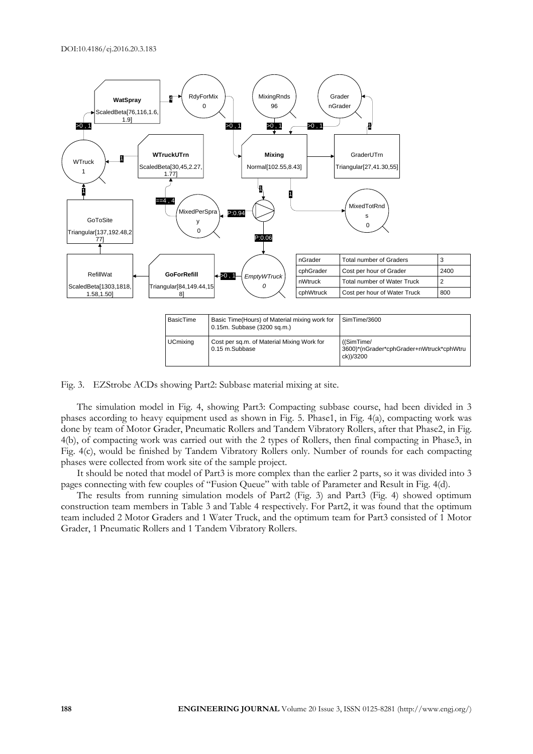

Fig. 3. EZStrobe ACDs showing Part2: Subbase material mixing at site.

The simulation model in Fig. 4, showing Part3: Compacting subbase course, had been divided in 3 phases according to heavy equipment used as shown in Fig. 5. Phase1, in Fig. 4(a), compacting work was done by team of Motor Grader, Pneumatic Rollers and Tandem Vibratory Rollers, after that Phase2, in Fig. 4(b), of compacting work was carried out with the 2 types of Rollers, then final compacting in Phase3, in Fig. 4(c), would be finished by Tandem Vibratory Rollers only. Number of rounds for each compacting phases were collected from work site of the sample project.

It should be noted that model of Part3 is more complex than the earlier 2 parts, so it was divided into 3 pages connecting with few couples of "Fusion Queue" with table of Parameter and Result in Fig. 4(d).

The results from running simulation models of Part2 (Fig. 3) and Part3 (Fig. 4) showed optimum construction team members in Table 3 and Table 4 respectively. For Part2, it was found that the optimum team included 2 Motor Graders and 1 Water Truck, and the optimum team for Part3 consisted of 1 Motor Grader, 1 Pneumatic Rollers and 1 Tandem Vibratory Rollers.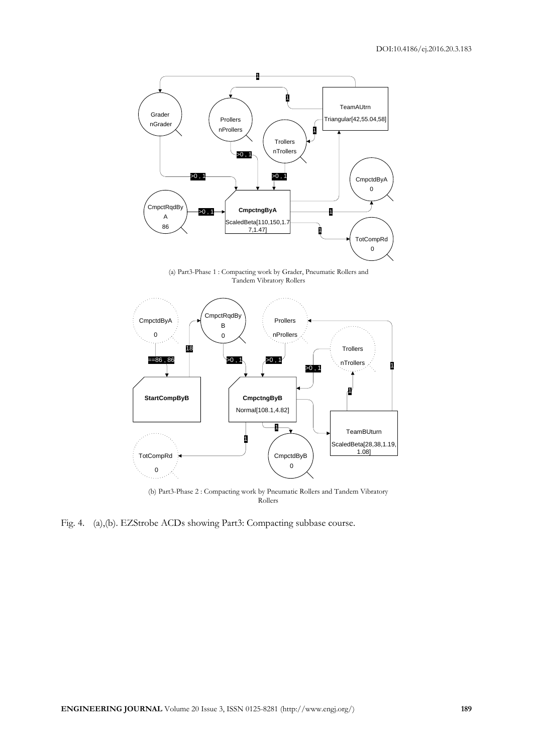

(a) Part3-Phase 1 : Compacting work by Grader, Pneumatic Rollers and Tandem Vibratory Rollers



(b) Part3-Phase 2 : Compacting work by Pneumatic Rollers and Tandem Vibratory Rollers

Fig. 4. (a),(b). EZStrobe ACDs showing Part3: Compacting subbase course.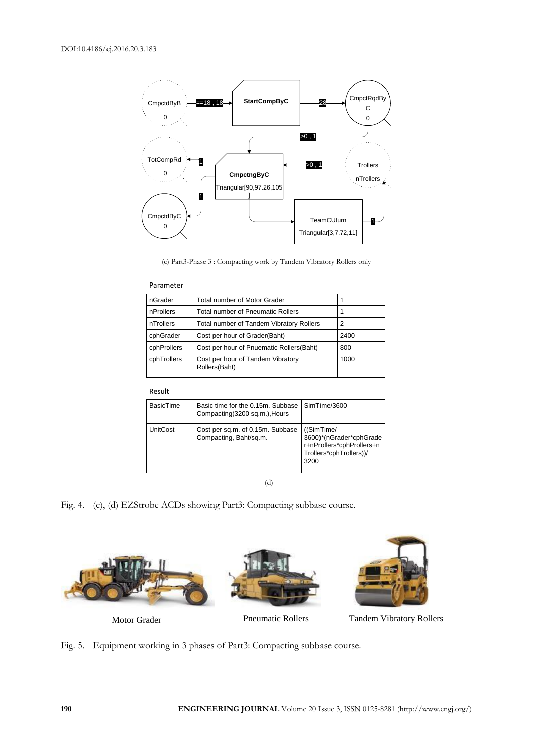



| Parameter   |                                                    |      |
|-------------|----------------------------------------------------|------|
| nGrader     | <b>Total number of Motor Grader</b>                |      |
| nProllers   | Total number of Pneumatic Rollers                  |      |
| nTrollers   | Total number of Tandem Vibratory Rollers           | 2    |
| cphGrader   | Cost per hour of Grader(Baht)                      | 2400 |
| cphProllers | Cost per hour of Pnuematic Rollers (Baht)          | 800  |
| cphTrollers | Cost per hour of Tandem Vibratory<br>Rollers(Baht) | 1000 |

#### Result

| <b>BasicTime</b> | Basic time for the 0.15m. Subbase<br>Compacting(3200 sq.m.), Hours | SimTime/3600                                                                                           |
|------------------|--------------------------------------------------------------------|--------------------------------------------------------------------------------------------------------|
| <b>UnitCost</b>  | Cost per sq.m. of 0.15m. Subbase<br>Compacting, Baht/sg.m.         | ( (SimTime/<br>3600)*(nGrader*cphGrade<br>r+nProllers*cphProllers+n<br>Trollers*cphTrollers))/<br>3200 |

(d)

Fig. 4. (c), (d) EZStrobe ACDs showing Part3: Compacting subbase course.







Motor Grader **Pneumatic Rollers** Tandem Vibratory Rollers

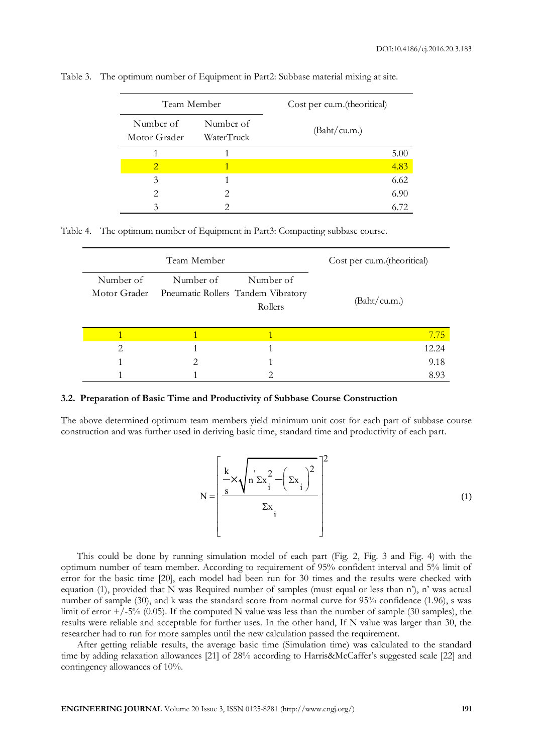|          | Number of<br>Motor Grader | Number of<br>WaterTruck | (Baht/cu.m.)                                                         |
|----------|---------------------------|-------------------------|----------------------------------------------------------------------|
|          |                           |                         |                                                                      |
|          |                           |                         | 5.00                                                                 |
|          | $\overline{2}$            | $\mathbf{1}$            | 4.83                                                                 |
|          | 3                         |                         | 6.62                                                                 |
|          | 2                         | 2                       | 6.90                                                                 |
|          | 3                         | 2                       | 6.72                                                                 |
| Table 4. |                           |                         | The optimum number of Equipment in Part3: Compacting subbase course. |

| Table 3. The optimum number of Equipment in Part2: Subbase material mixing at site. |  |  |  |  |  |  |
|-------------------------------------------------------------------------------------|--|--|--|--|--|--|
|                                                                                     |  |  |  |  |  |  |
|                                                                                     |  |  |  |  |  |  |

Team Member

|                           | Team Member | Cost per cu.m. (theoritical)                               |              |
|---------------------------|-------------|------------------------------------------------------------|--------------|
| Number of<br>Motor Grader | Number of   | Number of<br>Pneumatic Rollers Tandem Vibratory<br>Rollers | (Baht/cu.m.) |
|                           |             |                                                            | 7.75         |
| $\mathfrak{D}$            |             |                                                            | 12.24        |
|                           | っ           |                                                            | 9.18         |
|                           |             |                                                            | 8.93         |

### **3.2. Preparation of Basic Time and Productivity of Subbase Course Construction**

The above determined optimum team members yield minimum unit cost for each part of subbase course construction and was further used in deriving basic time, standard time and productivity of each part.



Cost per cu.m.(theoritical)

This could be done by running simulation model of each part (Fig. 2, Fig. 3 and Fig. 4) with the optimum number of team member. According to requirement of 95% confident interval and 5% limit of error for the basic time [20], each model had been run for 30 times and the results were checked with equation (1), provided that N was Required number of samples (must equal or less than n'), n' was actual number of sample (30), and k was the standard score from normal curve for 95% confidence (1.96), s was limit of error  $+/-5\%$  (0.05). If the computed N value was less than the number of sample (30 samples), the results were reliable and acceptable for further uses. In the other hand, If N value was larger than 30, the researcher had to run for more samples until the new calculation passed the requirement.

After getting reliable results, the average basic time (Simulation time) was calculated to the standard time by adding relaxation allowances [21] of 28% according to Harris&McCaffer's suggested scale [22] and contingency allowances of 10%.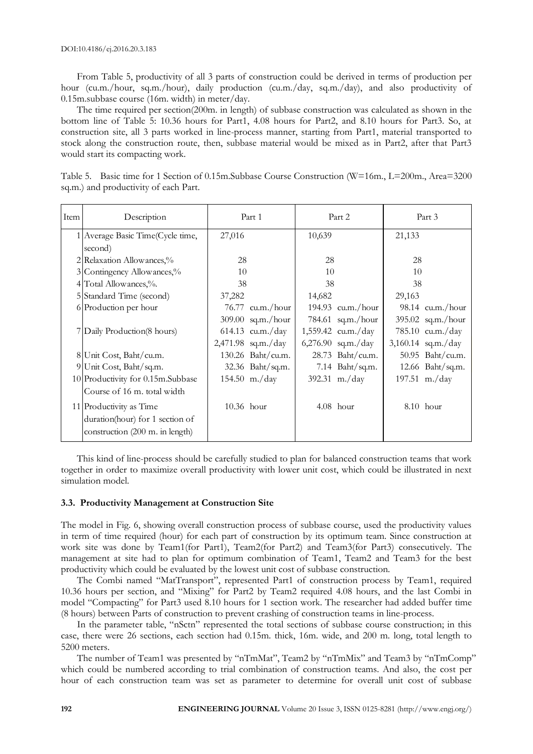From Table 5, productivity of all 3 parts of construction could be derived in terms of production per hour (cu.m./hour, sq.m./hour), daily production (cu.m./day, sq.m./day), and also productivity of 0.15m.subbase course (16m. width) in meter/day.

The time required per section(200m. in length) of subbase construction was calculated as shown in the bottom line of Table 5: 10.36 hours for Part1, 4.08 hours for Part2, and 8.10 hours for Part3. So, at construction site, all 3 parts worked in line-process manner, starting from Part1, material transported to stock along the construction route, then, subbase material would be mixed as in Part2, after that Part3 would start its compacting work.

Table 5. Basic time for 1 Section of 0.15m.Subbase Course Construction (W=16m., L=200m., Area=3200 sq.m.) and productivity of each Part.

| Item | Description                       | Part 1               | Part 2                    | Part 3              |  |
|------|-----------------------------------|----------------------|---------------------------|---------------------|--|
|      | Average Basic Time(Cycle time,    | 27,016               | 10,639                    | 21,133              |  |
|      | second)                           |                      |                           |                     |  |
|      | 2 Relaxation Allowances,%         | 28                   | 28                        | 28                  |  |
|      | 3 Contingency Allowances,%        | 10                   | 10                        | 10                  |  |
|      | 4 Total Allowances,%.             | 38                   | 38                        | 38                  |  |
|      | 5 Standard Time (second)          | 37,282               | 14,682                    | 29,163              |  |
|      | 6 Production per hour             | $76.77$ cu.m./hour   | 194.93 $\mu$ . hour       | $98.14$ cu.m./hour  |  |
|      |                                   | $309.00$ sq.m./hour  | 784.61 sq.m./hour         | $395.02$ sq.m./hour |  |
|      | 7 Daily Production (8 hours)      | 614.13 cu.m./day     | 1,559.42 cu.m./day        | 785.10 $cu.m./day$  |  |
|      |                                   | $2,471.98$ sq.m./day | $6,276.90$ sq.m./day      | 3,160.14 sq.m./day  |  |
|      | 8 Unit Cost, Baht/cu.m.           | 130.26 Baht/cu.m.    | 28.73 Baht/cu.m.          | 50.95 Baht/cu.m.    |  |
|      | 9 Unit Cost, Baht/sq.m.           | 32.36 Baht/sq.m.     | 7.14 Baht/sq.m.           | 12.66 Baht/sq.m.    |  |
|      | 10 Productivity for 0.15m.Subbase | 154.50 $m$ ./day     | $392.31 \; \text{m./day}$ | 197.51 $m$ ./day    |  |
|      | Course of 16 m. total width       |                      |                           |                     |  |
|      | 11 Productivity as Time           | 10.36 hour           | $4.08$ hour               | $8.10$ hour         |  |
|      | duration(hour) for 1 section of   |                      |                           |                     |  |
|      | construction (200 m. in length)   |                      |                           |                     |  |

This kind of line-process should be carefully studied to plan for balanced construction teams that work together in order to maximize overall productivity with lower unit cost, which could be illustrated in next simulation model.

# **3.3. Productivity Management at Construction Site**

The model in Fig. 6, showing overall construction process of subbase course, used the productivity values in term of time required (hour) for each part of construction by its optimum team. Since construction at work site was done by Team1(for Part1), Team2(for Part2) and Team3(for Part3) consecutively. The management at site had to plan for optimum combination of Team1, Team2 and Team3 for the best productivity which could be evaluated by the lowest unit cost of subbase construction.

The Combi named "MatTransport", represented Part1 of construction process by Team1, required 10.36 hours per section, and "Mixing" for Part2 by Team2 required 4.08 hours, and the last Combi in model "Compacting" for Part3 used 8.10 hours for 1 section work. The researcher had added buffer time (8 hours) between Parts of construction to prevent crashing of construction teams in line-process.

In the parameter table, "nSctn" represented the total sections of subbase course construction; in this case, there were 26 sections, each section had 0.15m. thick, 16m. wide, and 200 m. long, total length to 5200 meters.

The number of Team1 was presented by "nTmMat", Team2 by "nTmMix" and Team3 by "nTmComp" which could be numbered according to trial combination of construction teams. And also, the cost per hour of each construction team was set as parameter to determine for overall unit cost of subbase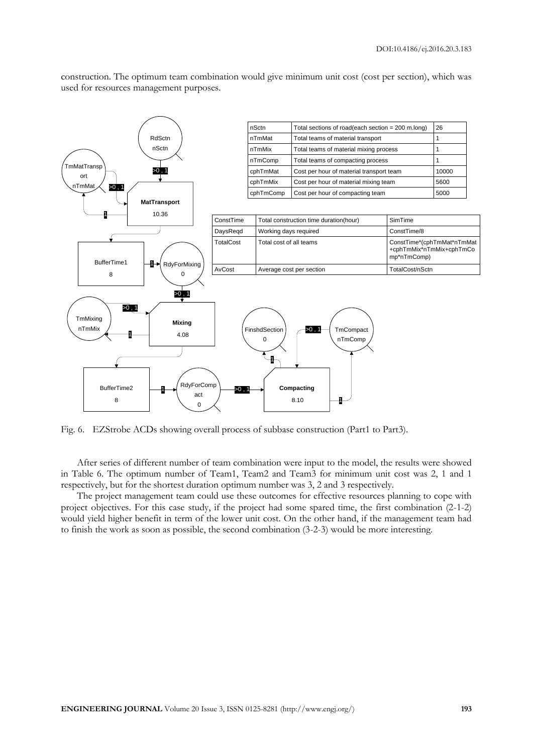construction. The optimum team combination would give minimum unit cost (cost per section), which was used for resources management purposes.



Fig. 6. EZStrobe ACDs showing overall process of subbase construction (Part1 to Part3).

After series of different number of team combination were input to the model, the results were showed in Table 6. The optimum number of Team1, Team2 and Team3 for minimum unit cost was 2, 1 and 1 respectively, but for the shortest duration optimum number was 3, 2 and 3 respectively.

The project management team could use these outcomes for effective resources planning to cope with project objectives. For this case study, if the project had some spared time, the first combination (2-1-2) would yield higher benefit in term of the lower unit cost. On the other hand, if the management team had to finish the work as soon as possible, the second combination (3-2-3) would be more interesting.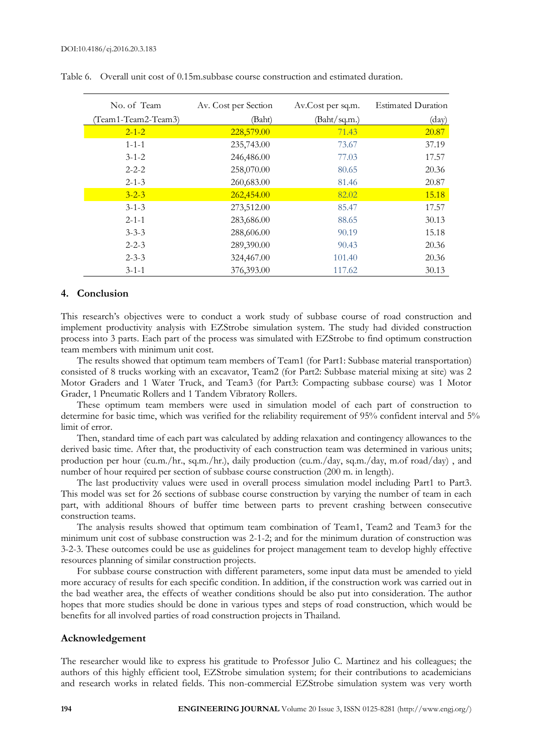| No. of Team         | Av. Cost per Section | Av.Cost per sq.m. | <b>Estimated Duration</b> |
|---------------------|----------------------|-------------------|---------------------------|
| (Team1-Team2-Team3) | (Baht)               | (Baht/sq.m.)      | $\text{(day)}$            |
| $2 - 1 - 2$         | 228,579.00           | 71.43             | 20.87                     |
| $1 - 1 - 1$         | 235,743.00           | 73.67             | 37.19                     |
| $3 - 1 - 2$         | 246,486.00           | 77.03             | 17.57                     |
| $2 - 2 - 2$         | 258,070.00           | 80.65             | 20.36                     |
| $2 - 1 - 3$         | 260,683.00           | 81.46             | 20.87                     |
| $3 - 2 - 3$         | 262,454.00           | 82.02             | 15.18                     |
| $3 - 1 - 3$         | 273,512.00           | 85.47             | 17.57                     |
| $2 - 1 - 1$         | 283,686.00           | 88.65             | 30.13                     |
| $3 - 3 - 3$         | 288,606.00           | 90.19             | 15.18                     |
| $2 - 2 - 3$         | 289,390.00           | 90.43             | 20.36                     |
| $2 - 3 - 3$         | 324,467.00           | 101.40            | 20.36                     |
| $3 - 1 - 1$         | 376,393.00           | 117.62            | 30.13                     |

Table 6. Overall unit cost of 0.15m.subbase course construction and estimated duration.

#### **4. Conclusion**

This research's objectives were to conduct a work study of subbase course of road construction and implement productivity analysis with EZStrobe simulation system. The study had divided construction process into 3 parts. Each part of the process was simulated with EZStrobe to find optimum construction team members with minimum unit cost.

The results showed that optimum team members of Team1 (for Part1: Subbase material transportation) consisted of 8 trucks working with an excavator, Team2 (for Part2: Subbase material mixing at site) was 2 Motor Graders and 1 Water Truck, and Team3 (for Part3: Compacting subbase course) was 1 Motor Grader, 1 Pneumatic Rollers and 1 Tandem Vibratory Rollers.

These optimum team members were used in simulation model of each part of construction to determine for basic time, which was verified for the reliability requirement of 95% confident interval and 5% limit of error.

Then, standard time of each part was calculated by adding relaxation and contingency allowances to the derived basic time. After that, the productivity of each construction team was determined in various units; production per hour (cu.m./hr., sq.m./hr.), daily production (cu.m./day, sq.m./day, m.of road/day) , and number of hour required per section of subbase course construction (200 m. in length).

The last productivity values were used in overall process simulation model including Part1 to Part3. This model was set for 26 sections of subbase course construction by varying the number of team in each part, with additional 8hours of buffer time between parts to prevent crashing between consecutive construction teams.

The analysis results showed that optimum team combination of Team1, Team2 and Team3 for the minimum unit cost of subbase construction was 2-1-2; and for the minimum duration of construction was 3-2-3. These outcomes could be use as guidelines for project management team to develop highly effective resources planning of similar construction projects.

For subbase course construction with different parameters, some input data must be amended to yield more accuracy of results for each specific condition. In addition, if the construction work was carried out in the bad weather area, the effects of weather conditions should be also put into consideration. The author hopes that more studies should be done in various types and steps of road construction, which would be benefits for all involved parties of road construction projects in Thailand.

#### **Acknowledgement**

The researcher would like to express his gratitude to Professor Julio C. Martinez and his colleagues; the authors of this highly efficient tool, EZStrobe simulation system; for their contributions to academicians and research works in related fields. This non-commercial EZStrobe simulation system was very worth